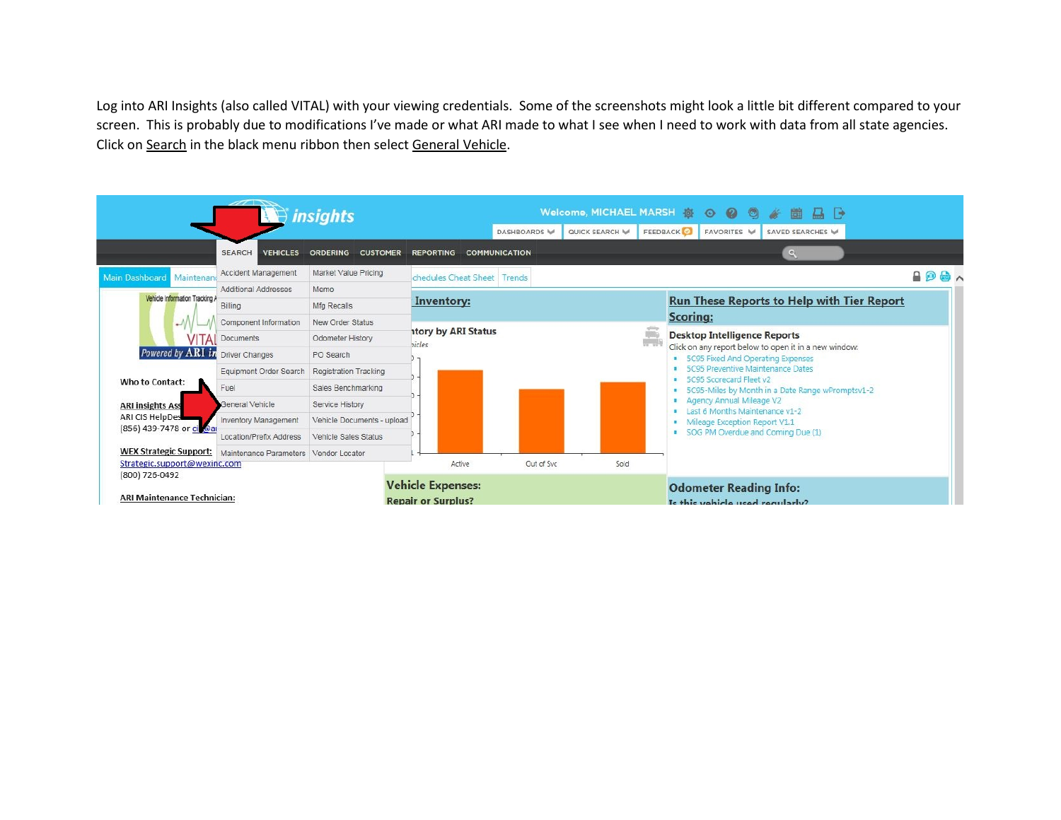Log into ARI Insights (also called VITAL) with your viewing credentials. Some of the screenshots might look a little bit different compared to your screen. This is probably due to modifications I've made or what ARI made to what I see when I need to work with data from all state agencies. Click on Search in the black menu ribbon then select General Vehicle.

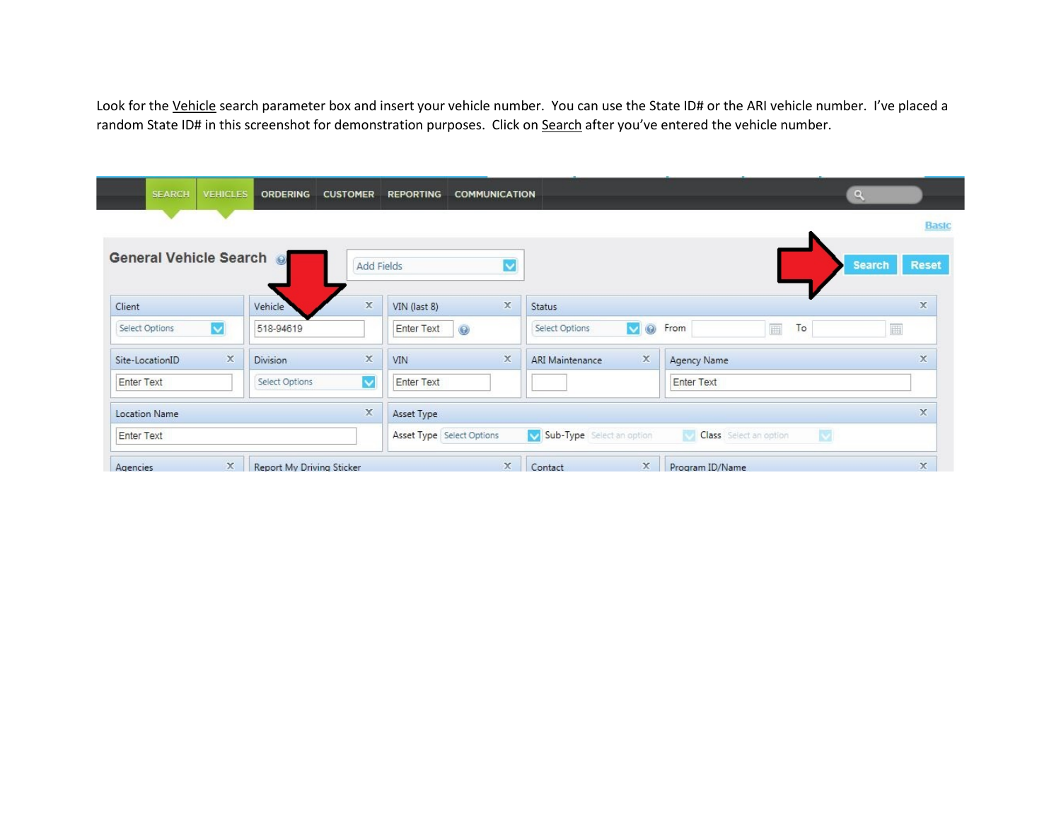Look for the Vehicle search parameter box and insert your vehicle number. You can use the State ID# or the ARI vehicle number. I've placed a random State ID# in this screenshot for demonstration purposes. Click on Search after you've entered the vehicle number.

| <b>SEARCH</b><br><b>VEHICLES</b>          | <b>ORDERING</b>           | <b>CUSTOMER</b> | <b>REPORTING</b><br><b>COMMUNICATION</b> |                                                      | $\mathbf{Q}$                |                               |
|-------------------------------------------|---------------------------|-----------------|------------------------------------------|------------------------------------------------------|-----------------------------|-------------------------------|
|                                           |                           |                 |                                          |                                                      |                             | <b>Basic</b>                  |
| General Vehicle Search @                  |                           | Add Fields      | $\ddot{\phantom{0}}$                     |                                                      |                             | <b>Search</b><br><b>Reset</b> |
| Client                                    | Vehicle                   | $\mathbb X$     | $\mathbb X$<br>VIN (last 8)              | <b>Status</b>                                        |                             | x                             |
| $\overline{\mathsf{v}}$<br>Select Options | 518-94619                 |                 | $\odot$<br>Enter Text                    | $\overline{\mathsf{v}}$<br>$\odot$<br>Select Options | 画<br>To<br>From             | 圓                             |
| $\propto$<br>Site-LocationID              | <b>Division</b>           | $\mathbb X$     | $\mathbf x$<br>VIN                       | $\mathbb X$<br><b>ARI Maintenance</b>                | Agency Name                 | $\times$                      |
| <b>Enter Text</b>                         | Select Options            | $\checkmark$    | <b>Enter Text</b>                        |                                                      | <b>Enter Text</b>           |                               |
| <b>Location Name</b>                      |                           | $\mathbb X$     | Asset Type                               |                                                      |                             | x                             |
| <b>Enter Text</b>                         |                           |                 | Asset Type Select Options                | V Sub-Type Select an option                          | 閿<br>Class Select an option |                               |
| x<br>Agencies                             | Report My Driving Sticker |                 | x                                        | x<br>Contact                                         | Program ID/Name             | $\mathbb X$                   |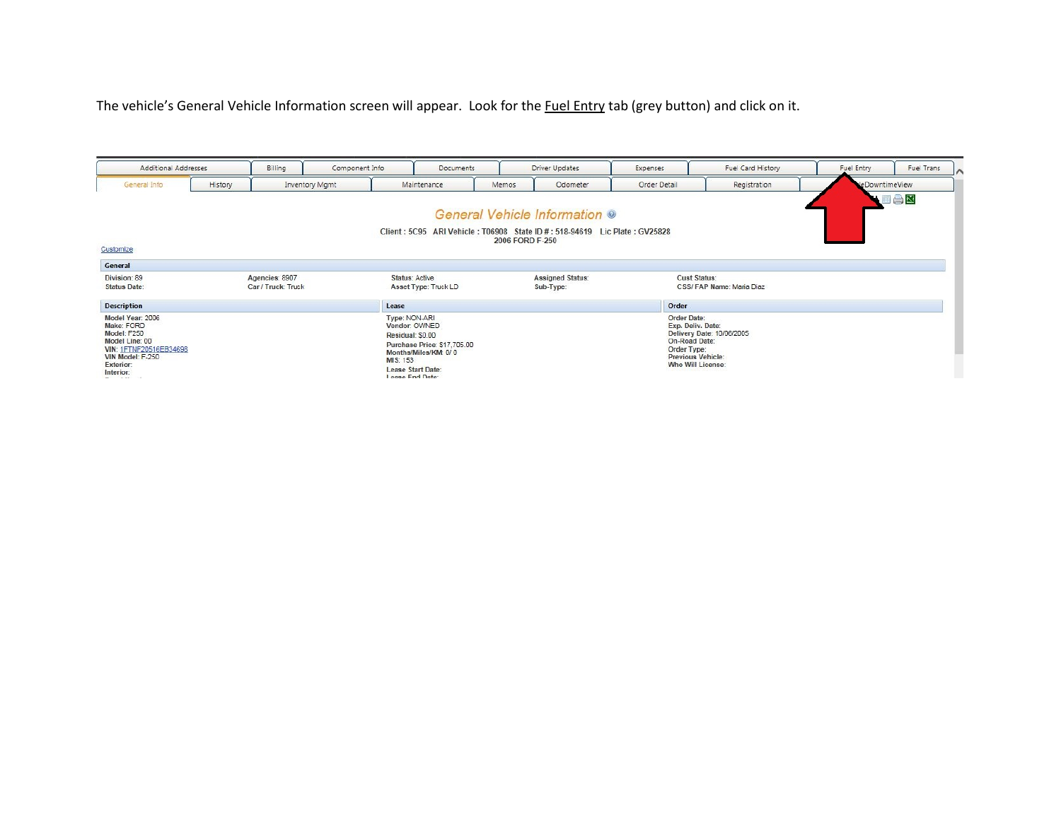## The vehicle's General Vehicle Information screen will appear. Look for the Fuel Entry tab (grey button) and click on it.

| Additional Addresses                                                                                                                                            |         | Billing                              | Component Info        |                                                                                                               | <b>Documents</b>                                    |                 | Driver Updates                                                                                             | Expenses                   | Fuel Card History                                                                                         | Fuel Entry     | Fuel Trans |  |
|-----------------------------------------------------------------------------------------------------------------------------------------------------------------|---------|--------------------------------------|-----------------------|---------------------------------------------------------------------------------------------------------------|-----------------------------------------------------|-----------------|------------------------------------------------------------------------------------------------------------|----------------------------|-----------------------------------------------------------------------------------------------------------|----------------|------------|--|
| General Info                                                                                                                                                    | History |                                      | <b>Inventory Mgmt</b> | Maintenance                                                                                                   |                                                     | Memos           | Odometer                                                                                                   | Order Detail               | Registration                                                                                              | LeDowntimeView |            |  |
| Customize                                                                                                                                                       |         |                                      |                       |                                                                                                               |                                                     | 2006 FORD F-250 | General Vehicle Information ®<br>Client: 5C95 ARI Vehicle: T06908 State ID #: 518-94619 Lic Plate: GV25828 |                            |                                                                                                           |                | VEAX       |  |
| General                                                                                                                                                         |         |                                      |                       |                                                                                                               |                                                     |                 |                                                                                                            |                            |                                                                                                           |                |            |  |
| Division: 89<br><b>Status Date:</b>                                                                                                                             |         | Agencies: 8907<br>Car / Truck: Truck |                       | <b>Status: Active</b>                                                                                         | Asset Type: Truck LD                                |                 | <b>Assigned Status:</b><br>Sub-Type:                                                                       |                            | <b>Cust Status:</b><br>CSS/FAP Name: Maria Diaz                                                           |                |            |  |
| <b>Description</b>                                                                                                                                              |         |                                      |                       | Lease                                                                                                         |                                                     |                 |                                                                                                            | Order                      |                                                                                                           |                |            |  |
| Model Year: 2006<br>Make: FORD<br>Model: F250<br>Model Line: 00<br>VIN: 1FTNF20516EB34698<br>VIN Model: F-250<br>Exterior:<br>Interior:<br>and the state of the |         |                                      |                       | Type: NON-ARI<br>Vendor: OWNED<br>Residual: \$0.00<br><b>MIS: 153</b><br>Lease Start Date:<br>Lease End Date: | Purchase Price: \$17,705.00<br>Months/Miles/KM: 0/0 |                 |                                                                                                            | Order Date:<br>Order Type: | Exp. Deliv. Date:<br>Delivery Date: 10/06/2005<br>On-Road Date:<br>Previous Vehicle:<br>Who Will License: |                |            |  |